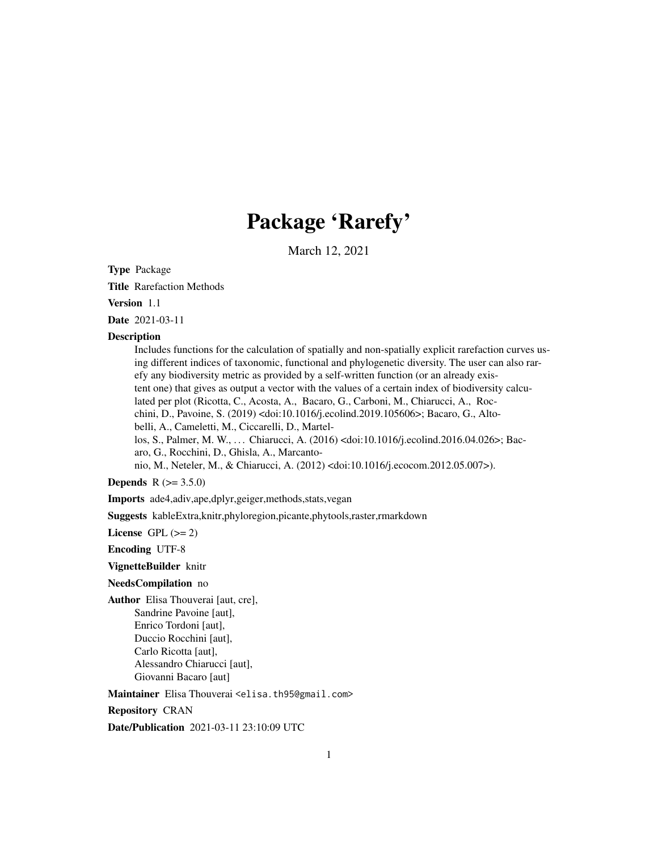## Package 'Rarefy'

March 12, 2021

<span id="page-0-0"></span>Type Package

Title Rarefaction Methods

Version 1.1

Date 2021-03-11

#### **Description**

Includes functions for the calculation of spatially and non-spatially explicit rarefaction curves using different indices of taxonomic, functional and phylogenetic diversity. The user can also rarefy any biodiversity metric as provided by a self-written function (or an already existent one) that gives as output a vector with the values of a certain index of biodiversity calculated per plot (Ricotta, C., Acosta, A., Bacaro, G., Carboni, M., Chiarucci, A., Rocchini, D., Pavoine, S. (2019) <doi:10.1016/j.ecolind.2019.105606>; Bacaro, G., Altobelli, A., Cameletti, M., Ciccarelli, D., Martellos, S., Palmer, M. W., . . . Chiarucci, A. (2016) <doi:10.1016/j.ecolind.2016.04.026>; Bacaro, G., Rocchini, D., Ghisla, A., Marcantonio, M., Neteler, M., & Chiarucci, A. (2012) <doi:10.1016/j.ecocom.2012.05.007>).

**Depends** R  $(>= 3.5.0)$ 

Imports ade4,adiv,ape,dplyr,geiger,methods,stats,vegan

Suggests kableExtra,knitr,phyloregion,picante,phytools,raster,rmarkdown

License GPL  $(>= 2)$ 

Encoding UTF-8

VignetteBuilder knitr

NeedsCompilation no

Author Elisa Thouverai [aut, cre], Sandrine Pavoine [aut], Enrico Tordoni [aut], Duccio Rocchini [aut], Carlo Ricotta [aut], Alessandro Chiarucci [aut], Giovanni Bacaro [aut]

Maintainer Elisa Thouverai <elisa.th95@gmail.com>

Repository CRAN

Date/Publication 2021-03-11 23:10:09 UTC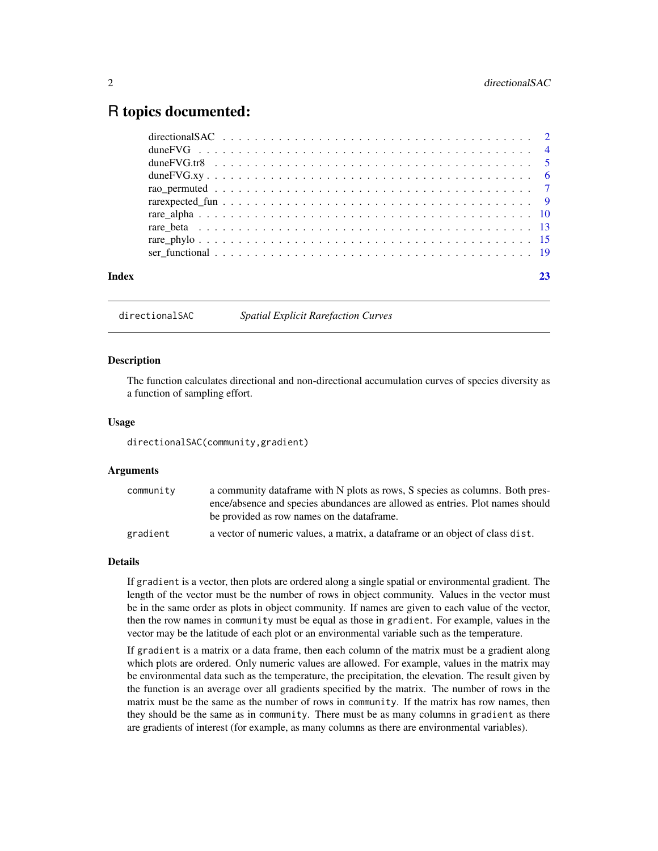## <span id="page-1-0"></span>R topics documented:

| Index |  |
|-------|--|
|       |  |
|       |  |
|       |  |
|       |  |
|       |  |
|       |  |
|       |  |
|       |  |
|       |  |
|       |  |

directionalSAC *Spatial Explicit Rarefaction Curves*

#### **Description**

The function calculates directional and non-directional accumulation curves of species diversity as a function of sampling effort.

#### Usage

directionalSAC(community,gradient)

#### Arguments

| community | a community dataframe with N plots as rows, S species as columns. Both pres-   |
|-----------|--------------------------------------------------------------------------------|
|           | ence/absence and species abundances are allowed as entries. Plot names should  |
|           | be provided as row names on the data frame.                                    |
| gradient  | a vector of numeric values, a matrix, a data frame or an object of class dist. |

#### Details

If gradient is a vector, then plots are ordered along a single spatial or environmental gradient. The length of the vector must be the number of rows in object community. Values in the vector must be in the same order as plots in object community. If names are given to each value of the vector, then the row names in community must be equal as those in gradient. For example, values in the vector may be the latitude of each plot or an environmental variable such as the temperature.

If gradient is a matrix or a data frame, then each column of the matrix must be a gradient along which plots are ordered. Only numeric values are allowed. For example, values in the matrix may be environmental data such as the temperature, the precipitation, the elevation. The result given by the function is an average over all gradients specified by the matrix. The number of rows in the matrix must be the same as the number of rows in community. If the matrix has row names, then they should be the same as in community. There must be as many columns in gradient as there are gradients of interest (for example, as many columns as there are environmental variables).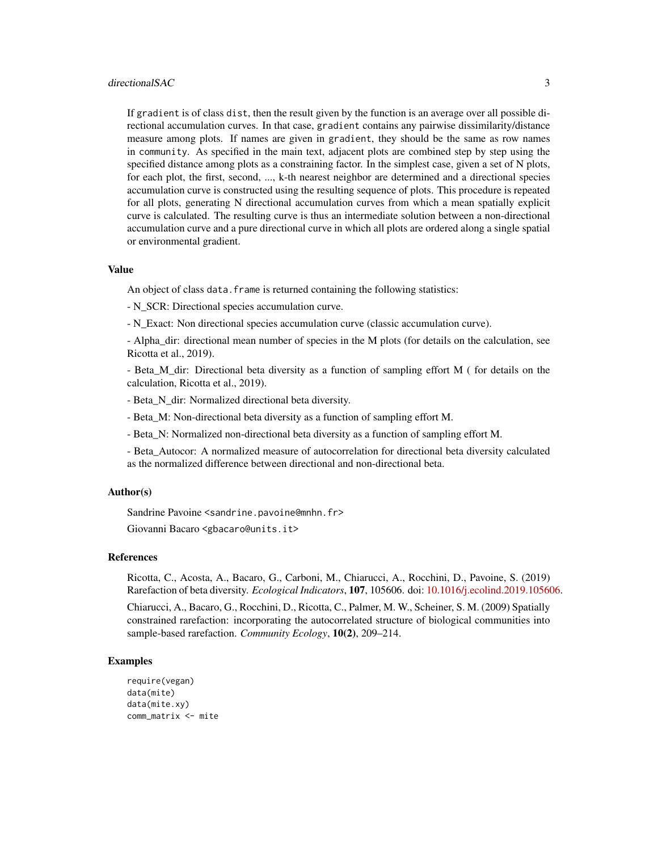#### directionalSAC 3

If gradient is of class dist, then the result given by the function is an average over all possible directional accumulation curves. In that case, gradient contains any pairwise dissimilarity/distance measure among plots. If names are given in gradient, they should be the same as row names in community. As specified in the main text, adjacent plots are combined step by step using the specified distance among plots as a constraining factor. In the simplest case, given a set of N plots, for each plot, the first, second, ..., k-th nearest neighbor are determined and a directional species accumulation curve is constructed using the resulting sequence of plots. This procedure is repeated for all plots, generating N directional accumulation curves from which a mean spatially explicit curve is calculated. The resulting curve is thus an intermediate solution between a non-directional accumulation curve and a pure directional curve in which all plots are ordered along a single spatial or environmental gradient.

#### Value

An object of class data. frame is returned containing the following statistics:

- N\_SCR: Directional species accumulation curve.

- N\_Exact: Non directional species accumulation curve (classic accumulation curve).

- Alpha dir: directional mean number of species in the M plots (for details on the calculation, see Ricotta et al., 2019).

- Beta\_M\_dir: Directional beta diversity as a function of sampling effort M ( for details on the calculation, Ricotta et al., 2019).

- Beta N dir: Normalized directional beta diversity.
- Beta\_M: Non-directional beta diversity as a function of sampling effort M.
- Beta\_N: Normalized non-directional beta diversity as a function of sampling effort M.

- Beta\_Autocor: A normalized measure of autocorrelation for directional beta diversity calculated as the normalized difference between directional and non-directional beta.

#### Author(s)

Sandrine Pavoine <sandrine.pavoine@mnhn.fr>

Giovanni Bacaro <gbacaro@units.it>

#### References

Ricotta, C., Acosta, A., Bacaro, G., Carboni, M., Chiarucci, A., Rocchini, D., Pavoine, S. (2019) Rarefaction of beta diversity. *Ecological Indicators*, 107, 105606. doi: [10.1016/j.ecolind.2019.105606.](https://doi.org/10.1016/j.ecolind.2019.105606)

Chiarucci, A., Bacaro, G., Rocchini, D., Ricotta, C., Palmer, M. W., Scheiner, S. M. (2009) Spatially constrained rarefaction: incorporating the autocorrelated structure of biological communities into sample-based rarefaction. *Community Ecology*, 10(2), 209–214.

#### Examples

```
require(vegan)
data(mite)
data(mite.xy)
comm_matrix <- mite
```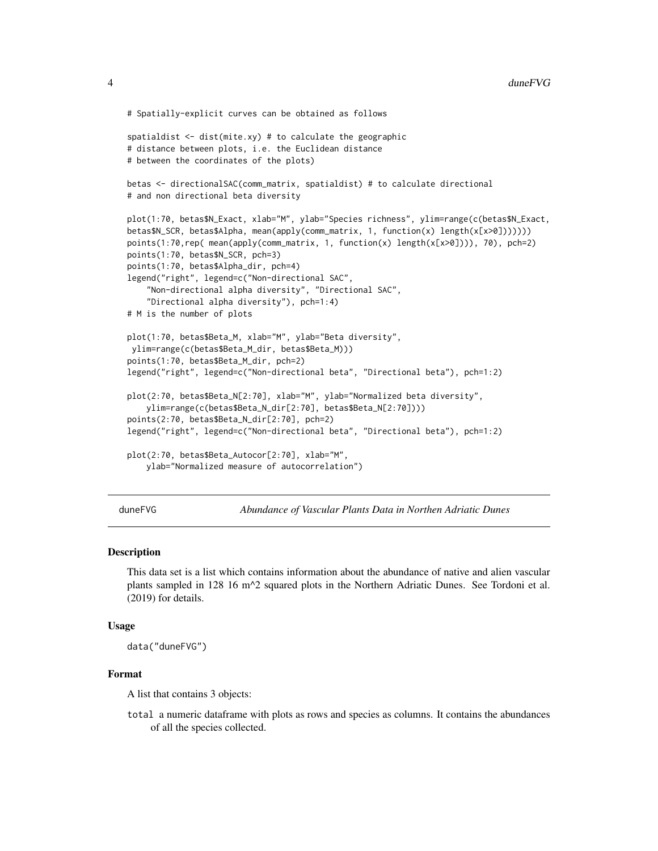```
# Spatially-explicit curves can be obtained as follows
spatialdist \leq dist(mite.xy) # to calculate the geographic
# distance between plots, i.e. the Euclidean distance
# between the coordinates of the plots)
betas <- directionalSAC(comm_matrix, spatialdist) # to calculate directional
# and non directional beta diversity
plot(1:70, betas$N_Exact, xlab="M", ylab="Species richness", ylim=range(c(betas$N_Exact,
betas$N_SCR, betas$Alpha, mean(apply(comm_matrix, 1, function(x) length(x[x>0]))))))
points(1:70,rep( mean(apply(comm_matrix, 1, function(x) length(x[x>0]))), 70), pch=2)
points(1:70, betas$N_SCR, pch=3)
points(1:70, betas$Alpha_dir, pch=4)
legend("right", legend=c("Non-directional SAC",
    "Non-directional alpha diversity", "Directional SAC",
    "Directional alpha diversity"), pch=1:4)
# M is the number of plots
plot(1:70, betas$Beta_M, xlab="M", ylab="Beta diversity",
ylim=range(c(betas$Beta_M_dir, betas$Beta_M)))
points(1:70, betas$Beta_M_dir, pch=2)
legend("right", legend=c("Non-directional beta", "Directional beta"), pch=1:2)
plot(2:70, betas$Beta_N[2:70], xlab="M", ylab="Normalized beta diversity",
    ylim=range(c(betas$Beta_N_dir[2:70], betas$Beta_N[2:70])))
points(2:70, betas$Beta_N_dir[2:70], pch=2)
legend("right", legend=c("Non-directional beta", "Directional beta"), pch=1:2)
plot(2:70, betas$Beta_Autocor[2:70], xlab="M",
    ylab="Normalized measure of autocorrelation")
```
<span id="page-3-1"></span>duneFVG *Abundance of Vascular Plants Data in Northen Adriatic Dunes*

#### Description

This data set is a list which contains information about the abundance of native and alien vascular plants sampled in 128 16 m^2 squared plots in the Northern Adriatic Dunes. See Tordoni et al. (2019) for details.

#### Usage

data("duneFVG")

#### Format

A list that contains 3 objects:

total a numeric dataframe with plots as rows and species as columns. It contains the abundances of all the species collected.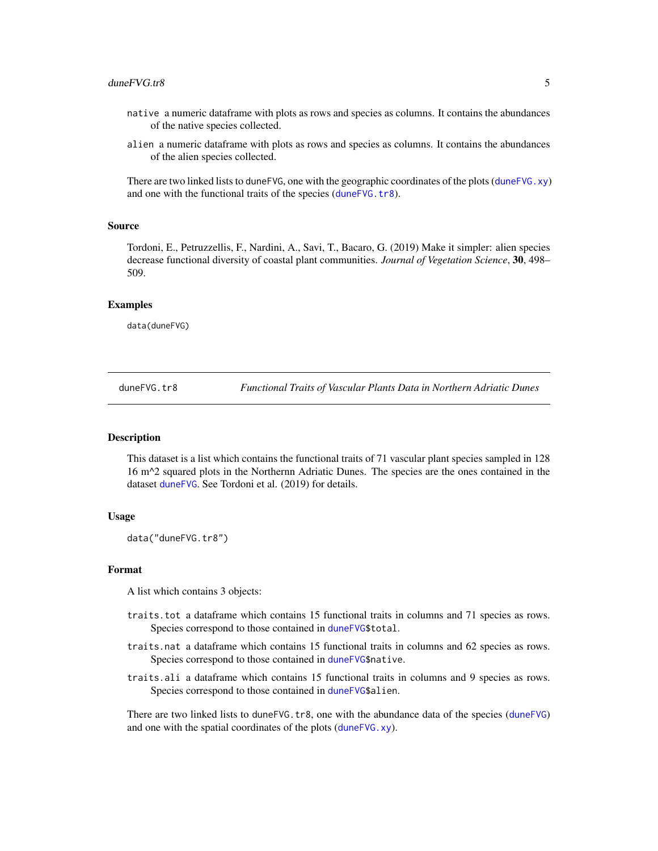- <span id="page-4-0"></span>native a numeric dataframe with plots as rows and species as columns. It contains the abundances of the native species collected.
- alien a numeric dataframe with plots as rows and species as columns. It contains the abundances of the alien species collected.

There are two linked lists to duneFVG, one with the geographic coordinates of the plots ([duneFVG.xy](#page-5-1)) and one with the functional traits of the species ([duneFVG.tr8](#page-4-1)).

#### Source

Tordoni, E., Petruzzellis, F., Nardini, A., Savi, T., Bacaro, G. (2019) Make it simpler: alien species decrease functional diversity of coastal plant communities. *Journal of Vegetation Science*, 30, 498– 509.

#### Examples

data(duneFVG)

<span id="page-4-1"></span>duneFVG.tr8 *Functional Traits of Vascular Plants Data in Northern Adriatic Dunes*

#### Description

This dataset is a list which contains the functional traits of 71 vascular plant species sampled in 128 16 m^2 squared plots in the Northernn Adriatic Dunes. The species are the ones contained in the dataset [duneFVG](#page-3-1). See Tordoni et al. (2019) for details.

#### Usage

data("duneFVG.tr8")

#### Format

A list which contains 3 objects:

- traits.tot a dataframe which contains 15 functional traits in columns and 71 species as rows. Species correspond to those contained in [duneFVG\\$](#page-3-1)total.
- traits.nat a dataframe which contains 15 functional traits in columns and 62 species as rows. Species correspond to those contained in [duneFVG\\$](#page-3-1)native.
- traits.ali a dataframe which contains 15 functional traits in columns and 9 species as rows. Species correspond to those contained in [duneFVG\\$](#page-3-1)alien.

There are two linked lists to [duneFVG](#page-3-1).tr8, one with the abundance data of the species (duneFVG) and one with the spatial coordinates of the plots ([duneFVG.xy](#page-5-1)).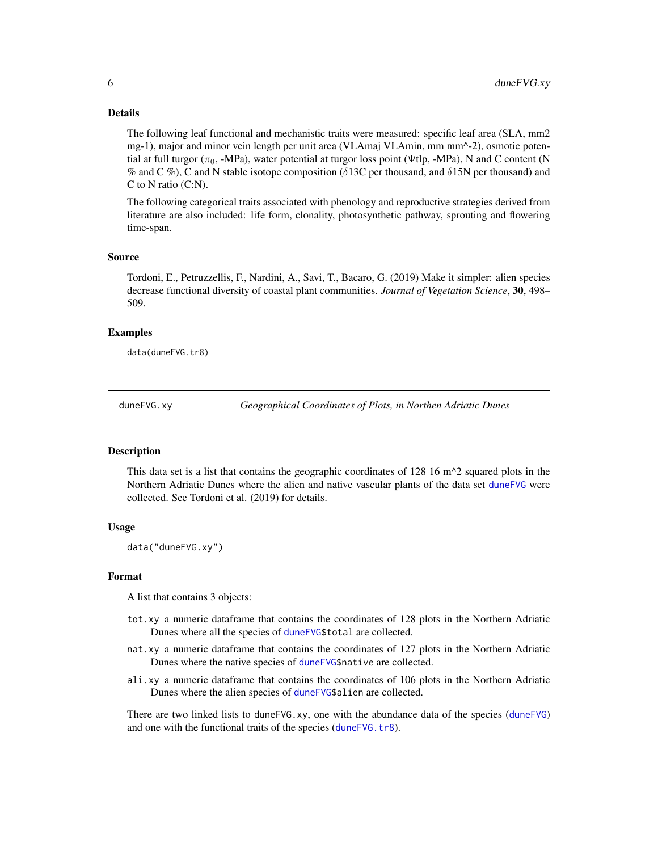#### <span id="page-5-0"></span>Details

The following leaf functional and mechanistic traits were measured: specific leaf area (SLA, mm2 mg-1), major and minor vein length per unit area (VLAmaj VLAmin, mm mm^-2), osmotic potential at full turgor ( $\pi_0$ , -MPa), water potential at turgor loss point (Ψtlp, -MPa), N and C content (N % and C %), C and N stable isotope composition ( $\delta$ 13C per thousand, and  $\delta$ 15N per thousand) and C to N ratio (C:N).

The following categorical traits associated with phenology and reproductive strategies derived from literature are also included: life form, clonality, photosynthetic pathway, sprouting and flowering time-span.

#### Source

Tordoni, E., Petruzzellis, F., Nardini, A., Savi, T., Bacaro, G. (2019) Make it simpler: alien species decrease functional diversity of coastal plant communities. *Journal of Vegetation Science*, 30, 498– 509.

#### Examples

data(duneFVG.tr8)

<span id="page-5-1"></span>duneFVG.xy *Geographical Coordinates of Plots, in Northen Adriatic Dunes*

#### Description

This data set is a list that contains the geographic coordinates of  $128 \times 16$  m $\textdegree$ 2 squared plots in the Northern Adriatic Dunes where the alien and native vascular plants of the data set [duneFVG](#page-3-1) were collected. See Tordoni et al. (2019) for details.

#### Usage

data("duneFVG.xy")

#### Format

A list that contains 3 objects:

- tot.xy a numeric dataframe that contains the coordinates of 128 plots in the Northern Adriatic Dunes where all the species of [duneFVG\\$](#page-3-1)total are collected.
- nat.xy a numeric dataframe that contains the coordinates of 127 plots in the Northern Adriatic Dunes where the native species of [duneFVG\\$](#page-3-1)native are collected.
- ali.xy a numeric dataframe that contains the coordinates of 106 plots in the Northern Adriatic Dunes where the alien species of [duneFVG\\$](#page-3-1)alien are collected.

There are two linked lists to duneFVG.xy, one with the abundance data of the species ([duneFVG](#page-3-1)) and one with the functional traits of the species ([duneFVG.tr8](#page-4-1)).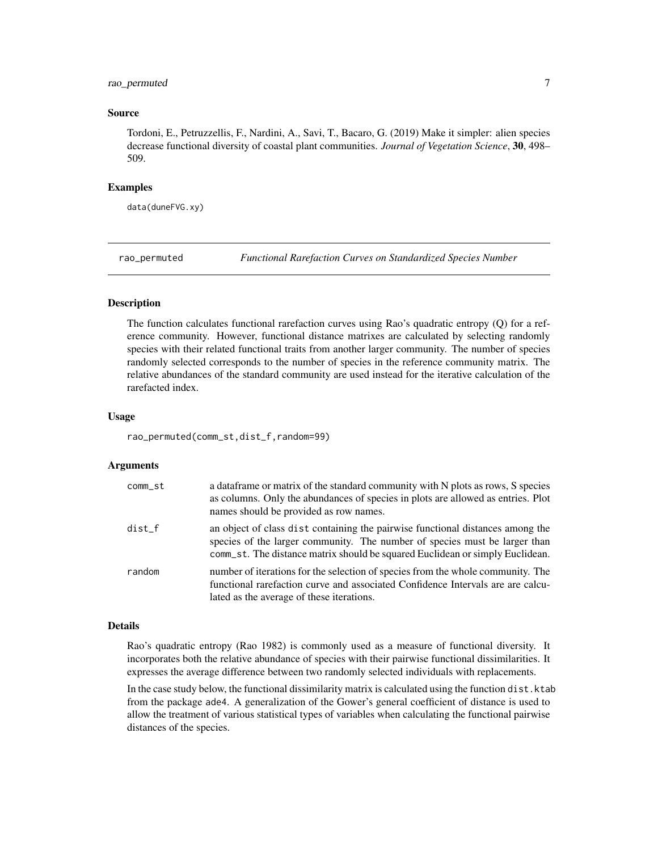#### <span id="page-6-0"></span>rao\_permuted 7

#### Source

Tordoni, E., Petruzzellis, F., Nardini, A., Savi, T., Bacaro, G. (2019) Make it simpler: alien species decrease functional diversity of coastal plant communities. *Journal of Vegetation Science*, 30, 498– 509.

#### Examples

data(duneFVG.xy)

rao\_permuted *Functional Rarefaction Curves on Standardized Species Number*

#### Description

The function calculates functional rarefaction curves using Rao's quadratic entropy (Q) for a reference community. However, functional distance matrixes are calculated by selecting randomly species with their related functional traits from another larger community. The number of species randomly selected corresponds to the number of species in the reference community matrix. The relative abundances of the standard community are used instead for the iterative calculation of the rarefacted index.

#### Usage

rao\_permuted(comm\_st,dist\_f,random=99)

#### Arguments

| comm_st  | a data frame or matrix of the standard community with N plots as rows, S species<br>as columns. Only the abundances of species in plots are allowed as entries. Plot<br>names should be provided as row names.                                |
|----------|-----------------------------------------------------------------------------------------------------------------------------------------------------------------------------------------------------------------------------------------------|
| $dist_f$ | an object of class dist containing the pairwise functional distances among the<br>species of the larger community. The number of species must be larger than<br>comm_st. The distance matrix should be squared Euclidean or simply Euclidean. |
| random   | number of iterations for the selection of species from the whole community. The<br>functional rarefaction curve and associated Confidence Intervals are are calcu-<br>lated as the average of these iterations.                               |

#### Details

Rao's quadratic entropy (Rao 1982) is commonly used as a measure of functional diversity. It incorporates both the relative abundance of species with their pairwise functional dissimilarities. It expresses the average difference between two randomly selected individuals with replacements.

In the case study below, the functional dissimilarity matrix is calculated using the function dist. ktab from the package ade4. A generalization of the Gower's general coefficient of distance is used to allow the treatment of various statistical types of variables when calculating the functional pairwise distances of the species.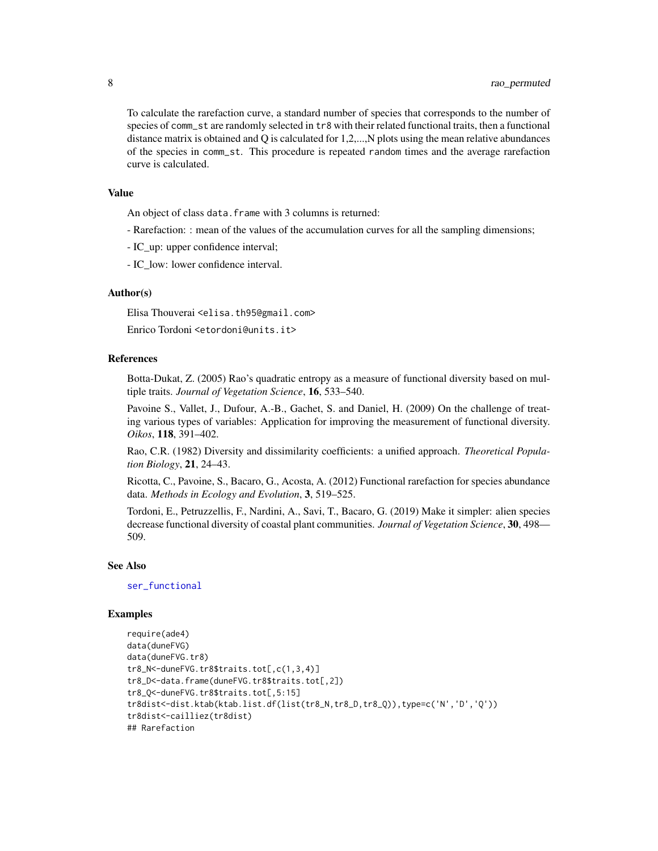To calculate the rarefaction curve, a standard number of species that corresponds to the number of species of comm\_st are randomly selected in tr8 with their related functional traits, then a functional distance matrix is obtained and Q is calculated for 1,2,...,N plots using the mean relative abundances of the species in comm\_st. This procedure is repeated random times and the average rarefaction curve is calculated.

#### Value

An object of class data. frame with 3 columns is returned:

- Rarefaction: : mean of the values of the accumulation curves for all the sampling dimensions;
- IC\_up: upper confidence interval;
- IC low: lower confidence interval.

#### Author(s)

Elisa Thouverai <elisa.th95@gmail.com>

Enrico Tordoni <etordoni@units.it>

#### References

Botta-Dukat, Z. (2005) Rao's quadratic entropy as a measure of functional diversity based on multiple traits. *Journal of Vegetation Science*, 16, 533–540.

Pavoine S., Vallet, J., Dufour, A.-B., Gachet, S. and Daniel, H. (2009) On the challenge of treating various types of variables: Application for improving the measurement of functional diversity. *Oikos*, 118, 391–402.

Rao, C.R. (1982) Diversity and dissimilarity coefficients: a unified approach. *Theoretical Population Biology*, 21, 24–43.

Ricotta, C., Pavoine, S., Bacaro, G., Acosta, A. (2012) Functional rarefaction for species abundance data. *Methods in Ecology and Evolution*, 3, 519–525.

Tordoni, E., Petruzzellis, F., Nardini, A., Savi, T., Bacaro, G. (2019) Make it simpler: alien species decrease functional diversity of coastal plant communities. *Journal of Vegetation Science*, 30, 498— 509.

#### See Also

[ser\\_functional](#page-18-1)

#### Examples

```
require(ade4)
data(duneFVG)
data(duneFVG.tr8)
tr8_N<-duneFVG.tr8$traits.tot[,c(1,3,4)]
tr8_D<-data.frame(duneFVG.tr8$traits.tot[,2])
tr8_Q<-duneFVG.tr8$traits.tot[,5:15]
tr8dist<-dist.ktab(ktab.list.df(list(tr8_N,tr8_D,tr8_Q)),type=c('N','D','Q'))
tr8dist<-cailliez(tr8dist)
## Rarefaction
```
<span id="page-7-0"></span>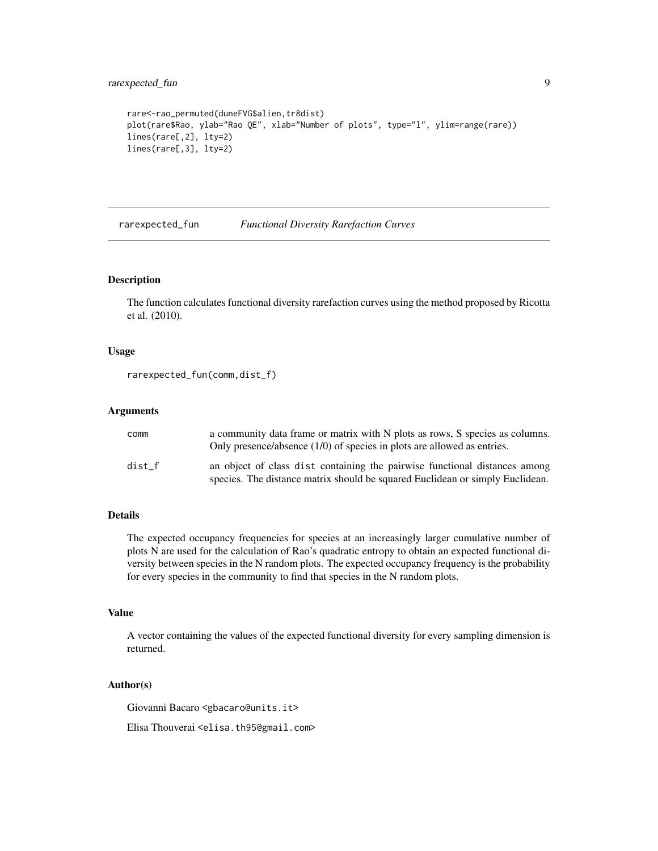#### <span id="page-8-0"></span>rarexpected\_fun 9

```
rare<-rao_permuted(duneFVG$alien,tr8dist)
plot(rare$Rao, ylab="Rao QE", xlab="Number of plots", type="l", ylim=range(rare))
lines(rare[,2], lty=2)
lines(rare[,3], lty=2)
```
rarexpected\_fun *Functional Diversity Rarefaction Curves*

#### Description

The function calculates functional diversity rarefaction curves using the method proposed by Ricotta et al. (2010).

#### Usage

```
rarexpected_fun(comm,dist_f)
```
#### Arguments

| comm   | a community data frame or matrix with N plots as rows, S species as columns.<br>Only presence/absence $(1/0)$ of species in plots are allowed as entries.   |
|--------|-------------------------------------------------------------------------------------------------------------------------------------------------------------|
| dist f | an object of class dist containing the pairwise functional distances among<br>species. The distance matrix should be squared Euclidean or simply Euclidean. |

#### Details

The expected occupancy frequencies for species at an increasingly larger cumulative number of plots N are used for the calculation of Rao's quadratic entropy to obtain an expected functional diversity between species in the N random plots. The expected occupancy frequency is the probability for every species in the community to find that species in the N random plots.

#### Value

A vector containing the values of the expected functional diversity for every sampling dimension is returned.

#### Author(s)

Giovanni Bacaro <gbacaro@units.it>

Elisa Thouverai <elisa.th95@gmail.com>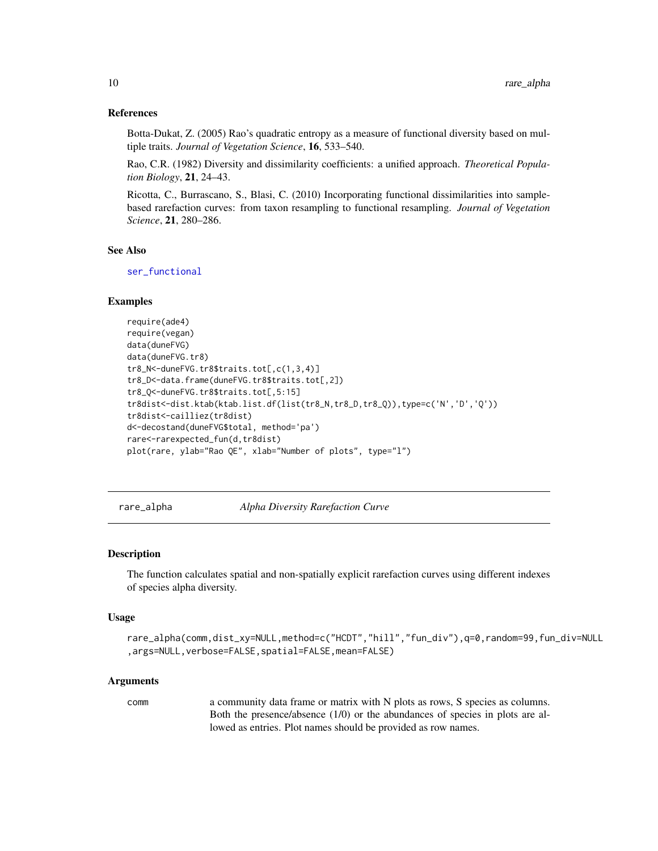#### <span id="page-9-0"></span>References

Botta-Dukat, Z. (2005) Rao's quadratic entropy as a measure of functional diversity based on multiple traits. *Journal of Vegetation Science*, 16, 533–540.

Rao, C.R. (1982) Diversity and dissimilarity coefficients: a unified approach. *Theoretical Population Biology*, 21, 24–43.

Ricotta, C., Burrascano, S., Blasi, C. (2010) Incorporating functional dissimilarities into samplebased rarefaction curves: from taxon resampling to functional resampling. *Journal of Vegetation Science*, 21, 280–286.

#### See Also

[ser\\_functional](#page-18-1)

#### Examples

```
require(ade4)
require(vegan)
data(duneFVG)
data(duneFVG.tr8)
tr8_N<-duneFVG.tr8$traits.tot[,c(1,3,4)]
tr8_D<-data.frame(duneFVG.tr8$traits.tot[,2])
tr8_Q<-duneFVG.tr8$traits.tot[,5:15]
tr8dist<-dist.ktab(ktab.list.df(list(tr8_N,tr8_D,tr8_Q)),type=c('N','D','Q'))
tr8dist<-cailliez(tr8dist)
d<-decostand(duneFVG$total, method='pa')
rare<-rarexpected_fun(d,tr8dist)
plot(rare, ylab="Rao QE", xlab="Number of plots", type="l")
```
<span id="page-9-1"></span>rare\_alpha *Alpha Diversity Rarefaction Curve*

#### Description

The function calculates spatial and non-spatially explicit rarefaction curves using different indexes of species alpha diversity.

#### Usage

```
rare_alpha(comm,dist_xy=NULL,method=c("HCDT","hill","fun_div"),q=0,random=99,fun_div=NULL
,args=NULL,verbose=FALSE,spatial=FALSE,mean=FALSE)
```
#### Arguments

comm a community data frame or matrix with N plots as rows, S species as columns. Both the presence/absence (1/0) or the abundances of species in plots are allowed as entries. Plot names should be provided as row names.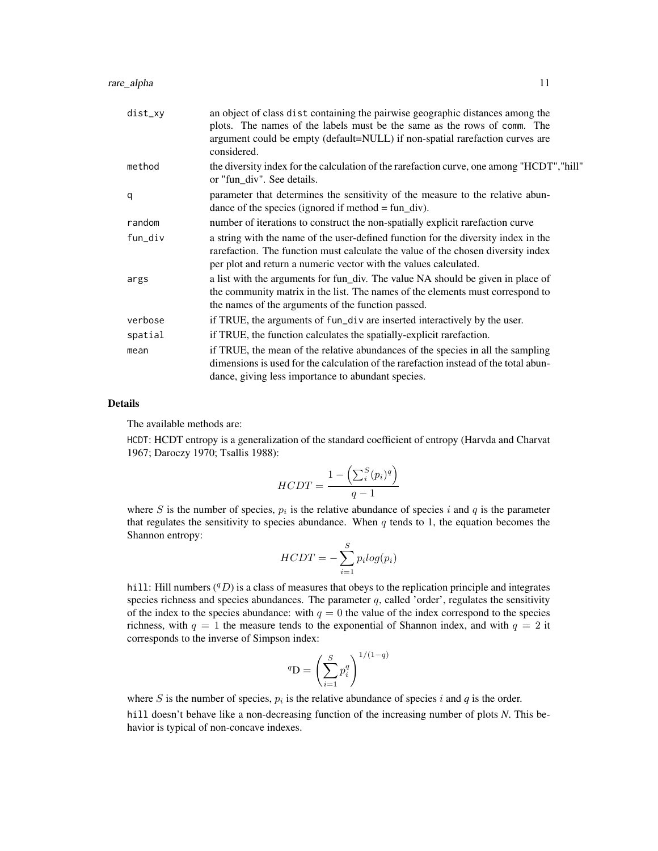| dist_xy | an object of class dist containing the pairwise geographic distances among the<br>plots. The names of the labels must be the same as the rows of comm. The<br>argument could be empty (default=NULL) if non-spatial rarefaction curves are<br>considered. |
|---------|-----------------------------------------------------------------------------------------------------------------------------------------------------------------------------------------------------------------------------------------------------------|
| method  | the diversity index for the calculation of the rarefaction curve, one among "HCDT", "hill"<br>or "fun_div". See details.                                                                                                                                  |
| q       | parameter that determines the sensitivity of the measure to the relative abun-<br>dance of the species (ignored if method $=$ fun_div).                                                                                                                   |
| random  | number of iterations to construct the non-spatially explicit rarefaction curve                                                                                                                                                                            |
| fun_div | a string with the name of the user-defined function for the diversity index in the<br>rarefaction. The function must calculate the value of the chosen diversity index<br>per plot and return a numeric vector with the values calculated.                |
| args    | a list with the arguments for fun_div. The value NA should be given in place of<br>the community matrix in the list. The names of the elements must correspond to<br>the names of the arguments of the function passed.                                   |
| verbose | if TRUE, the arguments of fun_div are inserted interactively by the user.                                                                                                                                                                                 |
| spatial | if TRUE, the function calculates the spatially-explicit rarefaction.                                                                                                                                                                                      |
| mean    | if TRUE, the mean of the relative abundances of the species in all the sampling<br>dimensions is used for the calculation of the rarefaction instead of the total abun-<br>dance, giving less importance to abundant species.                             |

#### Details

The available methods are:

HCDT: HCDT entropy is a generalization of the standard coefficient of entropy (Harvda and Charvat 1967; Daroczy 1970; Tsallis 1988):

$$
HCDT = \frac{1 - \left(\sum_{i}^{S}(p_i)^q\right)}{q - 1}
$$

where S is the number of species,  $p_i$  is the relative abundance of species i and q is the parameter that regulates the sensitivity to species abundance. When  $q$  tends to 1, the equation becomes the Shannon entropy:

$$
HCDT = -\sum_{i=1}^{S} p_i log(p_i)
$$

hill: Hill numbers  $(^{q}D)$  is a class of measures that obeys to the replication principle and integrates species richness and species abundances. The parameter  $q$ , called 'order', regulates the sensitivity of the index to the species abundance: with  $q = 0$  the value of the index correspond to the species richness, with  $q = 1$  the measure tends to the exponential of Shannon index, and with  $q = 2$  it corresponds to the inverse of Simpson index:

$$
{}^{q}D = \left(\sum_{i=1}^{S} p_i^q\right)^{1/(1-q)}
$$

where S is the number of species,  $p_i$  is the relative abundance of species i and  $q$  is the order.

hill doesn't behave like a non-decreasing function of the increasing number of plots *N*. This behavior is typical of non-concave indexes.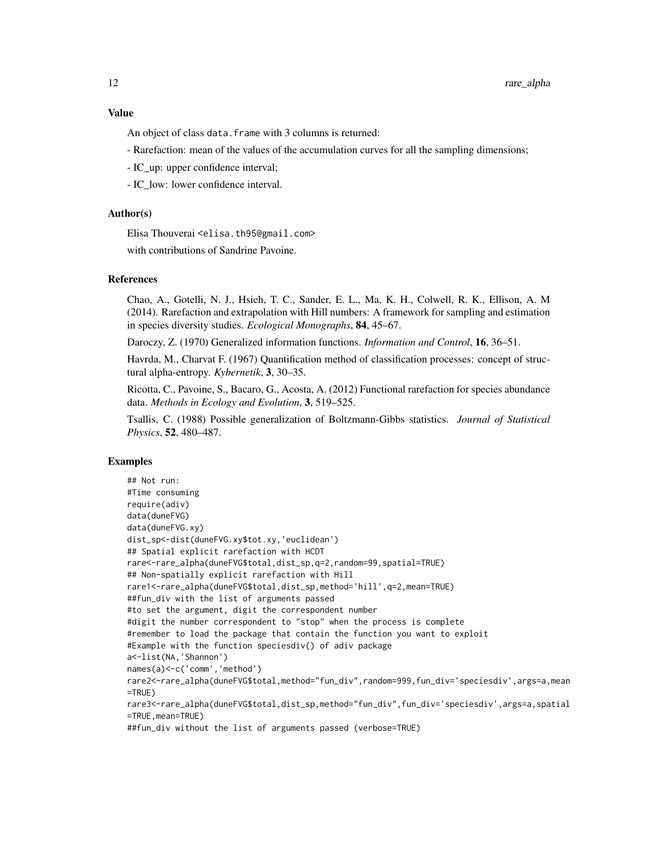#### Value

An object of class data. frame with 3 columns is returned:

- Rarefaction: mean of the values of the accumulation curves for all the sampling dimensions;
- IC\_up: upper confidence interval;
- IC low: lower confidence interval.

#### Author(s)

Elisa Thouverai <elisa.th95@gmail.com>

with contributions of Sandrine Pavoine.

#### References

Chao, A., Gotelli, N. J., Hsieh, T. C., Sander, E. L., Ma, K. H., Colwell, R. K., Ellison, A. M (2014). Rarefaction and extrapolation with Hill numbers: A framework for sampling and estimation in species diversity studies. *Ecological Monographs*, 84, 45–67.

Daroczy, Z. (1970) Generalized information functions. *Information and Control*, 16, 36–51.

Havrda, M., Charvat F. (1967) Quantification method of classification processes: concept of structural alpha-entropy. *Kybernetik*, 3, 30–35.

Ricotta, C., Pavoine, S., Bacaro, G., Acosta, A. (2012) Functional rarefaction for species abundance data. *Methods in Ecology and Evolution*, 3, 519–525.

Tsallis, C. (1988) Possible generalization of Boltzmann-Gibbs statistics. *Journal of Statistical Physics*, 52, 480–487.

#### Examples

```
## Not run:
#Time consuming
require(adiv)
data(duneFVG)
data(duneFVG.xy)
dist_sp<-dist(duneFVG.xy$tot.xy,'euclidean')
## Spatial explicit rarefaction with HCDT
rare<-rare_alpha(duneFVG$total,dist_sp,q=2,random=99,spatial=TRUE)
## Non-spatially explicit rarefaction with Hill
rare1<-rare_alpha(duneFVG$total,dist_sp,method='hill',q=2,mean=TRUE)
##fun_div with the list of arguments passed
#to set the argument, digit the correspondent number
#digit the number correspondent to "stop" when the process is complete
#remember to load the package that contain the function you want to exploit
#Example with the function speciesdiv() of adiv package
a<-list(NA,'Shannon')
names(a)<-c('comm','method')
rare2<-rare_alpha(duneFVG$total,method="fun_div",random=999,fun_div='speciesdiv',args=a,mean
=TRUE)
rare3<-rare_alpha(duneFVG$total,dist_sp,method="fun_div",fun_div='speciesdiv',args=a,spatial
=TRUE,mean=TRUE)
##fun_div without the list of arguments passed (verbose=TRUE)
```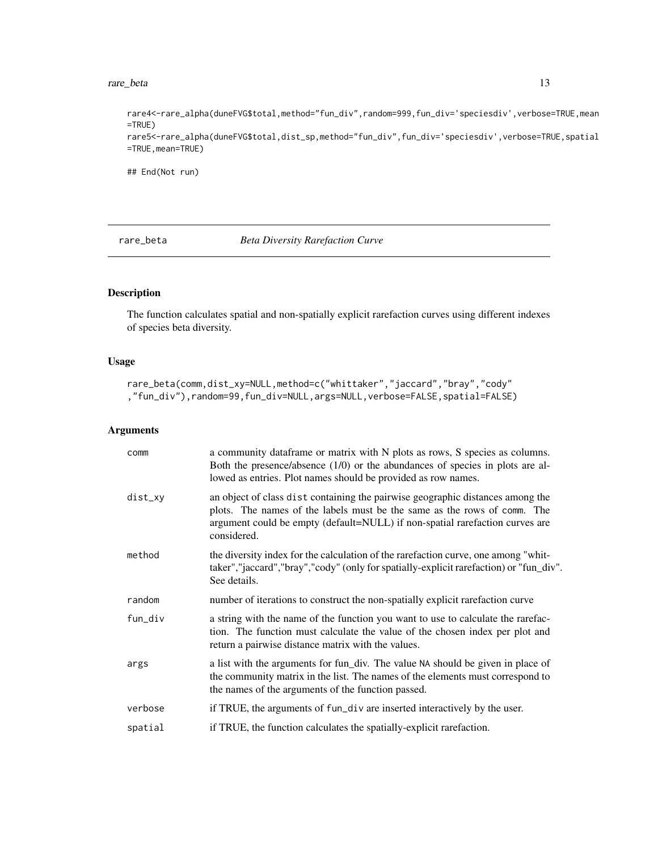#### <span id="page-12-0"></span>rare\_beta 13

rare4<-rare\_alpha(duneFVG\$total,method="fun\_div",random=999,fun\_div='speciesdiv',verbose=TRUE,mean =TRUE) rare5<-rare\_alpha(duneFVG\$total,dist\_sp,method="fun\_div",fun\_div='speciesdiv',verbose=TRUE,spatial =TRUE,mean=TRUE)

## End(Not run)

rare\_beta *Beta Diversity Rarefaction Curve*

#### Description

The function calculates spatial and non-spatially explicit rarefaction curves using different indexes of species beta diversity.

#### Usage

```
rare_beta(comm,dist_xy=NULL,method=c("whittaker","jaccard","bray","cody"
,"fun_div"),random=99,fun_div=NULL,args=NULL,verbose=FALSE,spatial=FALSE)
```
#### Arguments

| comm    | a community dataframe or matrix with N plots as rows, S species as columns.<br>Both the presence/absence (1/0) or the abundances of species in plots are al-<br>lowed as entries. Plot names should be provided as row names.                             |
|---------|-----------------------------------------------------------------------------------------------------------------------------------------------------------------------------------------------------------------------------------------------------------|
| dist_xy | an object of class dist containing the pairwise geographic distances among the<br>plots. The names of the labels must be the same as the rows of comm. The<br>argument could be empty (default=NULL) if non-spatial rarefaction curves are<br>considered. |
| method  | the diversity index for the calculation of the rarefaction curve, one among "whit-<br>taker","jaccard","bray","cody" (only for spatially-explicit rarefaction) or "fun_div".<br>See details.                                                              |
| random  | number of iterations to construct the non-spatially explicit rarefaction curve                                                                                                                                                                            |
| fun_div | a string with the name of the function you want to use to calculate the rarefac-<br>tion. The function must calculate the value of the chosen index per plot and<br>return a pairwise distance matrix with the values.                                    |
| args    | a list with the arguments for fun_div. The value NA should be given in place of<br>the community matrix in the list. The names of the elements must correspond to<br>the names of the arguments of the function passed.                                   |
| verbose | if TRUE, the arguments of fun_div are inserted interactively by the user.                                                                                                                                                                                 |
| spatial | if TRUE, the function calculates the spatially-explicit rarefaction.                                                                                                                                                                                      |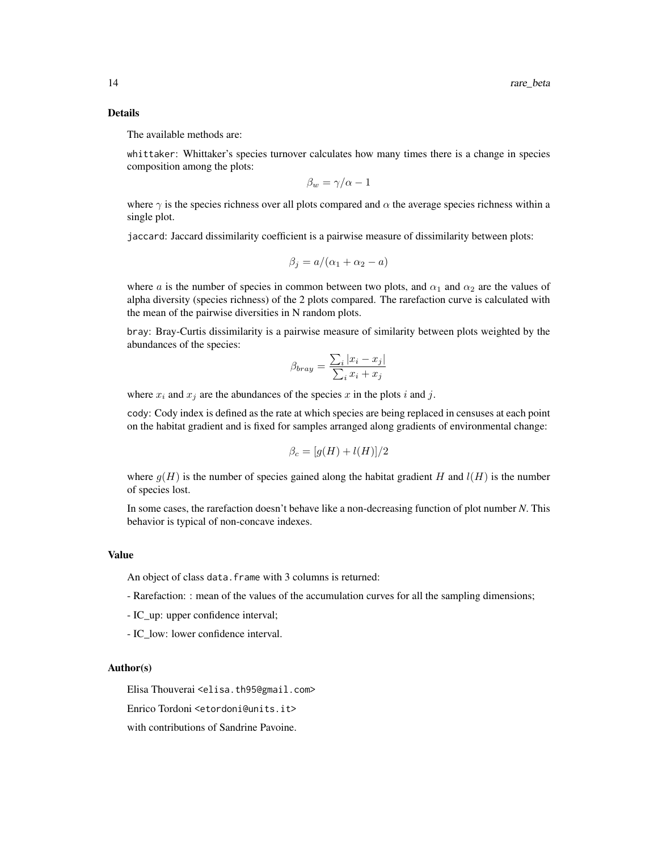#### Details

The available methods are:

whittaker: Whittaker's species turnover calculates how many times there is a change in species composition among the plots:

$$
\beta_w = \gamma/\alpha - 1
$$

where  $\gamma$  is the species richness over all plots compared and  $\alpha$  the average species richness within a single plot.

jaccard: Jaccard dissimilarity coefficient is a pairwise measure of dissimilarity between plots:

$$
\beta_j = a/(\alpha_1 + \alpha_2 - a)
$$

where a is the number of species in common between two plots, and  $\alpha_1$  and  $\alpha_2$  are the values of alpha diversity (species richness) of the 2 plots compared. The rarefaction curve is calculated with the mean of the pairwise diversities in N random plots.

bray: Bray-Curtis dissimilarity is a pairwise measure of similarity between plots weighted by the abundances of the species:

$$
\beta_{bray} = \frac{\sum_{i} |x_i - x_j|}{\sum_{i} x_i + x_j}
$$

where  $x_i$  and  $x_j$  are the abundances of the species x in the plots i and j.

cody: Cody index is defined as the rate at which species are being replaced in censuses at each point on the habitat gradient and is fixed for samples arranged along gradients of environmental change:

$$
\beta_c = [g(H) + l(H)]/2
$$

where  $g(H)$  is the number of species gained along the habitat gradient H and  $l(H)$  is the number of species lost.

In some cases, the rarefaction doesn't behave like a non-decreasing function of plot number *N*. This behavior is typical of non-concave indexes.

#### Value

An object of class data. frame with 3 columns is returned:

- Rarefaction: : mean of the values of the accumulation curves for all the sampling dimensions;
- IC\_up: upper confidence interval;
- IC\_low: lower confidence interval.

#### Author(s)

Elisa Thouverai <elisa.th95@gmail.com>

Enrico Tordoni <etordoni@units.it>

with contributions of Sandrine Pavoine.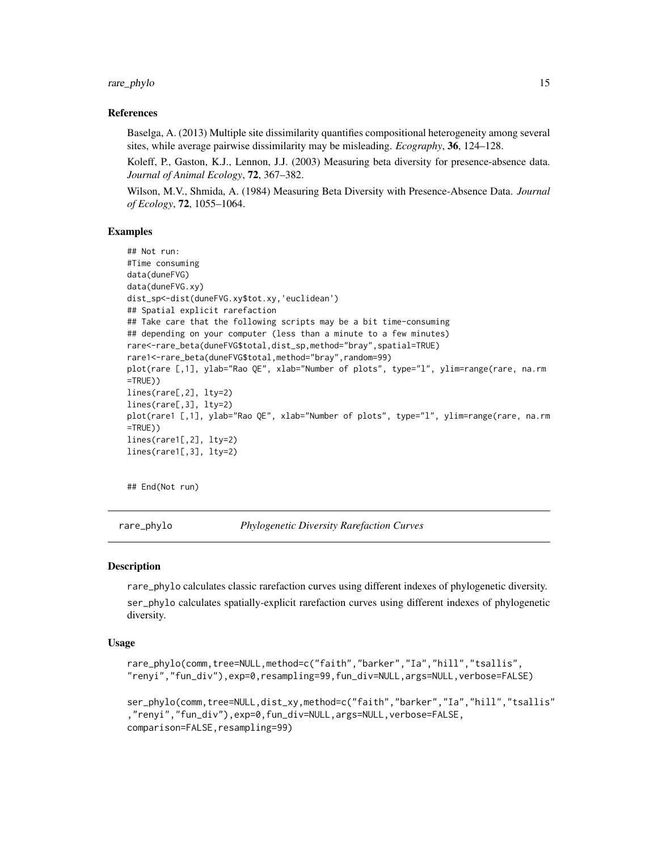<span id="page-14-0"></span>rare\_phylo 15

#### References

Baselga, A. (2013) Multiple site dissimilarity quantifies compositional heterogeneity among several sites, while average pairwise dissimilarity may be misleading. *Ecography*, 36, 124–128.

Koleff, P., Gaston, K.J., Lennon, J.J. (2003) Measuring beta diversity for presence-absence data. *Journal of Animal Ecology*, 72, 367–382.

Wilson, M.V., Shmida, A. (1984) Measuring Beta Diversity with Presence-Absence Data. *Journal of Ecology*, 72, 1055–1064.

#### Examples

```
## Not run:
#Time consuming
data(duneFVG)
data(duneFVG.xy)
dist_sp<-dist(duneFVG.xy$tot.xy,'euclidean')
## Spatial explicit rarefaction
## Take care that the following scripts may be a bit time-consuming
## depending on your computer (less than a minute to a few minutes)
rare<-rare_beta(duneFVG$total,dist_sp,method="bray",spatial=TRUE)
rare1<-rare_beta(duneFVG$total,method="bray",random=99)
plot(rare [,1], ylab="Rao QE", xlab="Number of plots", type="l", ylim=range(rare, na.rm
=TRUE))
lines(rare[,2], lty=2)
lines(rare[,3], lty=2)
plot(rare1 [,1], ylab="Rao QE", xlab="Number of plots", type="l", ylim=range(rare, na.rm
=TRUE))
lines(rare1[,2], lty=2)
lines(rare1[,3], lty=2)
```
## End(Not run)

rare\_phylo *Phylogenetic Diversity Rarefaction Curves*

#### **Description**

rare\_phylo calculates classic rarefaction curves using different indexes of phylogenetic diversity. ser\_phylo calculates spatially-explicit rarefaction curves using different indexes of phylogenetic diversity.

#### Usage

```
rare_phylo(comm,tree=NULL,method=c("faith","barker","Ia","hill","tsallis",
"renyi","fun_div"),exp=0,resampling=99,fun_div=NULL,args=NULL,verbose=FALSE)
```

```
ser_phylo(comm,tree=NULL,dist_xy,method=c("faith","barker","Ia","hill","tsallis"
,"renyi","fun_div"),exp=0,fun_div=NULL,args=NULL,verbose=FALSE,
comparison=FALSE,resampling=99)
```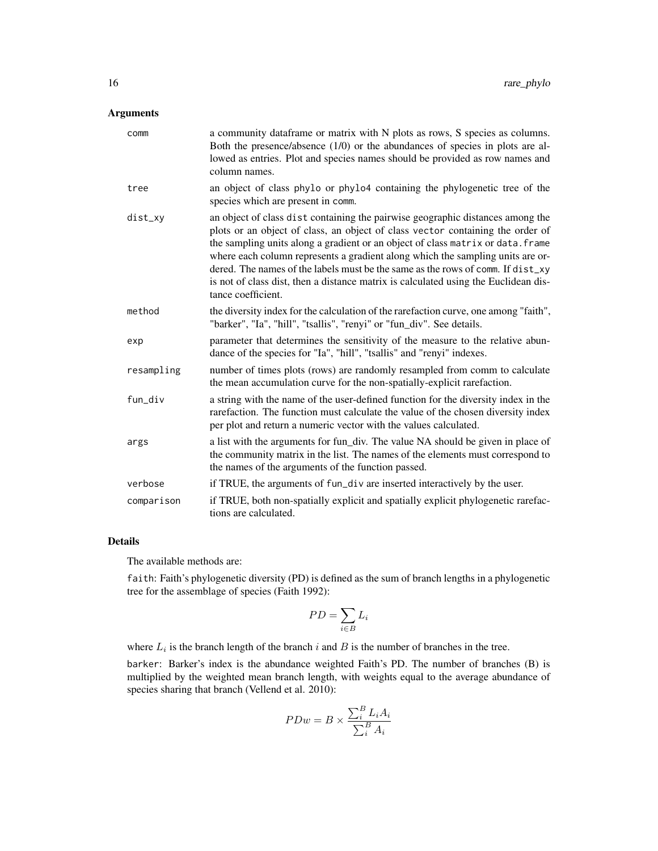#### Arguments

| comm       | a community dataframe or matrix with N plots as rows, S species as columns.<br>Both the presence/absence $(1/0)$ or the abundances of species in plots are al-<br>lowed as entries. Plot and species names should be provided as row names and<br>column names.                                                                                                                                                                                                                                                                       |
|------------|---------------------------------------------------------------------------------------------------------------------------------------------------------------------------------------------------------------------------------------------------------------------------------------------------------------------------------------------------------------------------------------------------------------------------------------------------------------------------------------------------------------------------------------|
| tree       | an object of class phylo or phylo4 containing the phylogenetic tree of the<br>species which are present in comm.                                                                                                                                                                                                                                                                                                                                                                                                                      |
| dist_xy    | an object of class dist containing the pairwise geographic distances among the<br>plots or an object of class, an object of class vector containing the order of<br>the sampling units along a gradient or an object of class matrix or data. frame<br>where each column represents a gradient along which the sampling units are or-<br>dered. The names of the labels must be the same as the rows of comm. If dist_xy<br>is not of class dist, then a distance matrix is calculated using the Euclidean dis-<br>tance coefficient. |
| method     | the diversity index for the calculation of the rarefaction curve, one among "faith",<br>"barker", "Ia", "hill", "tsallis", "renyi" or "fun_div". See details.                                                                                                                                                                                                                                                                                                                                                                         |
| exp        | parameter that determines the sensitivity of the measure to the relative abun-<br>dance of the species for "Ia", "hill", "tsallis" and "renyi" indexes.                                                                                                                                                                                                                                                                                                                                                                               |
| resampling | number of times plots (rows) are randomly resampled from comm to calculate<br>the mean accumulation curve for the non-spatially-explicit rarefaction.                                                                                                                                                                                                                                                                                                                                                                                 |
| fun div    | a string with the name of the user-defined function for the diversity index in the<br>rarefaction. The function must calculate the value of the chosen diversity index<br>per plot and return a numeric vector with the values calculated.                                                                                                                                                                                                                                                                                            |
| args       | a list with the arguments for fun_div. The value NA should be given in place of<br>the community matrix in the list. The names of the elements must correspond to<br>the names of the arguments of the function passed.                                                                                                                                                                                                                                                                                                               |
| verbose    | if TRUE, the arguments of fun_div are inserted interactively by the user.                                                                                                                                                                                                                                                                                                                                                                                                                                                             |
| comparison | if TRUE, both non-spatially explicit and spatially explicit phylogenetic rarefac-<br>tions are calculated.                                                                                                                                                                                                                                                                                                                                                                                                                            |

#### Details

The available methods are:

faith: Faith's phylogenetic diversity (PD) is defined as the sum of branch lengths in a phylogenetic tree for the assemblage of species (Faith 1992):

$$
PD = \sum_{i \in B} L_i
$$

where  $L_i$  is the branch length of the branch i and B is the number of branches in the tree.

barker: Barker's index is the abundance weighted Faith's PD. The number of branches (B) is multiplied by the weighted mean branch length, with weights equal to the average abundance of species sharing that branch (Vellend et al. 2010):

$$
PDw = B \times \frac{\sum_{i}^{B} L_i A_i}{\sum_{i}^{B} A_i}
$$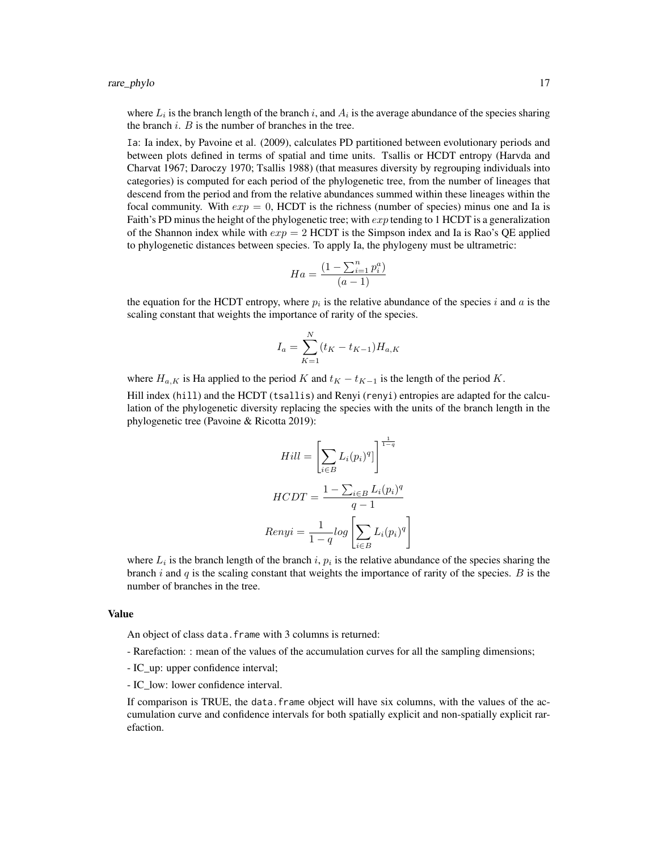where  $L_i$  is the branch length of the branch i, and  $A_i$  is the average abundance of the species sharing the branch  $i$ .  $B$  is the number of branches in the tree.

Ia: Ia index, by Pavoine et al. (2009), calculates PD partitioned between evolutionary periods and between plots defined in terms of spatial and time units. Tsallis or HCDT entropy (Harvda and Charvat 1967; Daroczy 1970; Tsallis 1988) (that measures diversity by regrouping individuals into categories) is computed for each period of the phylogenetic tree, from the number of lineages that descend from the period and from the relative abundances summed within these lineages within the focal community. With  $exp = 0$ , HCDT is the richness (number of species) minus one and Ia is Faith's PD minus the height of the phylogenetic tree; with  $exp$  tending to 1 HCDT is a generalization of the Shannon index while with  $exp = 2$  HCDT is the Simpson index and Ia is Rao's QE applied to phylogenetic distances between species. To apply Ia, the phylogeny must be ultrametric:

$$
Ha = \frac{(1 - \sum_{i=1}^{n} p_i^a)}{(a-1)}
$$

the equation for the HCDT entropy, where  $p_i$  is the relative abundance of the species i and a is the scaling constant that weights the importance of rarity of the species.

$$
I_a = \sum_{K=1}^{N} (t_K - t_{K-1}) H_{a,K}
$$

where  $H_{a,K}$  is Ha applied to the period K and  $t_K - t_{K-1}$  is the length of the period K.

Hill index (hill) and the HCDT (tsallis) and Renyi (renyi) entropies are adapted for the calculation of the phylogenetic diversity replacing the species with the units of the branch length in the phylogenetic tree (Pavoine & Ricotta 2019):

$$
Hill = \left[\sum_{i \in B} L_i(p_i)^q\right]^{\frac{1}{1-q}}
$$

$$
HCDT = \frac{1 - \sum_{i \in B} L_i(p_i)^q}{q - 1}
$$

$$
Renyi = \frac{1}{1 - q} log \left[\sum_{i \in B} L_i(p_i)^q\right]
$$

where  $L_i$  is the branch length of the branch i,  $p_i$  is the relative abundance of the species sharing the branch i and  $q$  is the scaling constant that weights the importance of rarity of the species.  $B$  is the number of branches in the tree.

#### Value

An object of class data. frame with 3 columns is returned:

- Rarefaction: : mean of the values of the accumulation curves for all the sampling dimensions;
- IC\_up: upper confidence interval;
- IC low: lower confidence interval.

If comparison is TRUE, the data.frame object will have six columns, with the values of the accumulation curve and confidence intervals for both spatially explicit and non-spatially explicit rarefaction.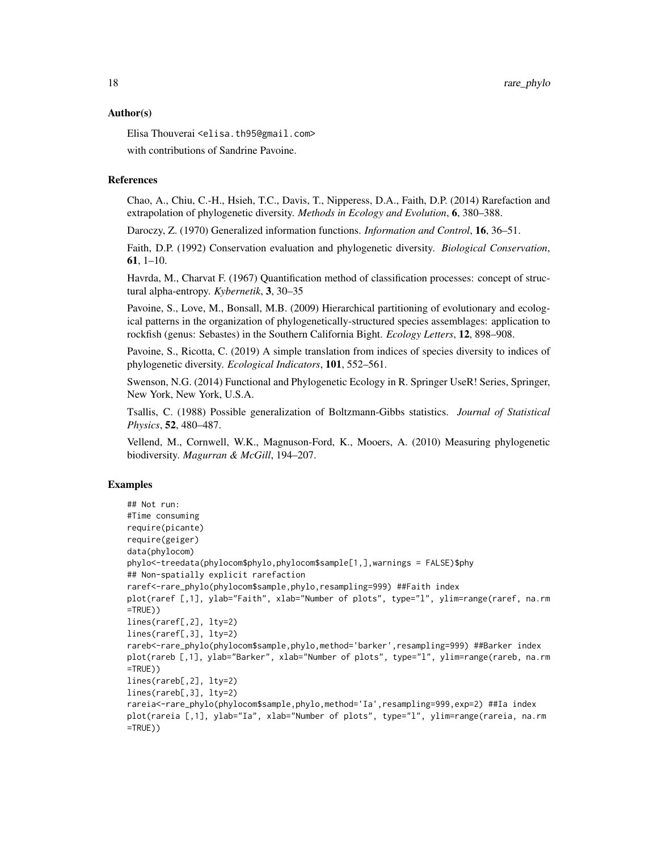#### Author(s)

Elisa Thouverai <elisa.th95@gmail.com> with contributions of Sandrine Pavoine.

#### References

Chao, A., Chiu, C.-H., Hsieh, T.C., Davis, T., Nipperess, D.A., Faith, D.P. (2014) Rarefaction and extrapolation of phylogenetic diversity. *Methods in Ecology and Evolution*, 6, 380–388.

Daroczy, Z. (1970) Generalized information functions. *Information and Control*, 16, 36–51.

Faith, D.P. (1992) Conservation evaluation and phylogenetic diversity. *Biological Conservation*, 61, 1–10.

Havrda, M., Charvat F. (1967) Quantification method of classification processes: concept of structural alpha-entropy. *Kybernetik*, 3, 30–35

Pavoine, S., Love, M., Bonsall, M.B. (2009) Hierarchical partitioning of evolutionary and ecological patterns in the organization of phylogenetically-structured species assemblages: application to rockfish (genus: Sebastes) in the Southern California Bight. *Ecology Letters*, 12, 898–908.

Pavoine, S., Ricotta, C. (2019) A simple translation from indices of species diversity to indices of phylogenetic diversity. *Ecological Indicators*, 101, 552–561.

Swenson, N.G. (2014) Functional and Phylogenetic Ecology in R. Springer UseR! Series, Springer, New York, New York, U.S.A.

Tsallis, C. (1988) Possible generalization of Boltzmann-Gibbs statistics. *Journal of Statistical Physics*, 52, 480–487.

Vellend, M., Cornwell, W.K., Magnuson-Ford, K., Mooers, A. (2010) Measuring phylogenetic biodiversity. *Magurran & McGill*, 194–207.

#### Examples

```
## Not run:
#Time consuming
require(picante)
require(geiger)
data(phylocom)
phylo<-treedata(phylocom$phylo,phylocom$sample[1,],warnings = FALSE)$phy
## Non-spatially explicit rarefaction
raref<-rare_phylo(phylocom$sample,phylo,resampling=999) ##Faith index
plot(raref [,1], ylab="Faith", xlab="Number of plots", type="l", ylim=range(raref, na.rm
=TRUE))
lines(raref[,2], lty=2)
lines(raref[,3], lty=2)
rareb<-rare_phylo(phylocom$sample,phylo,method='barker',resampling=999) ##Barker index
plot(rareb [,1], ylab="Barker", xlab="Number of plots", type="l", ylim=range(rareb, na.rm
=TRUE))
lines(rareb[,2], lty=2)
lines(rareb[,3], lty=2)
rareia<-rare_phylo(phylocom$sample,phylo,method='Ia',resampling=999,exp=2) ##Ia index
plot(rareia [,1], ylab="Ia", xlab="Number of plots", type="1", ylim=range(rareia, na.rm
=TRUE))
```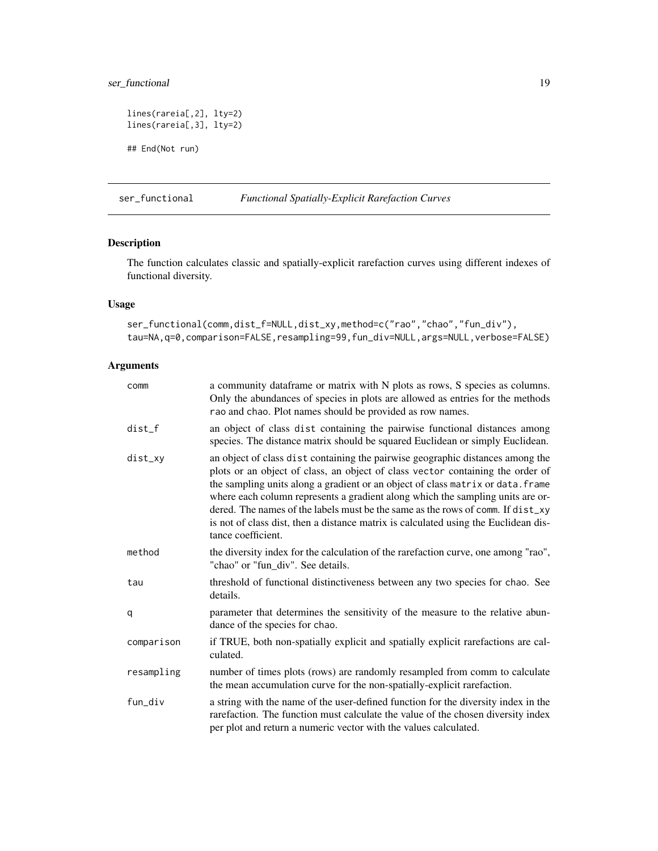## <span id="page-18-0"></span>ser\_functional 19

```
lines(rareia[,2], lty=2)
lines(rareia[,3], lty=2)
## End(Not run)
```
#### <span id="page-18-1"></span>ser\_functional *Functional Spatially-Explicit Rarefaction Curves*

### Description

The function calculates classic and spatially-explicit rarefaction curves using different indexes of functional diversity.

#### Usage

ser\_functional(comm,dist\_f=NULL,dist\_xy,method=c("rao","chao","fun\_div"), tau=NA,q=0,comparison=FALSE,resampling=99,fun\_div=NULL,args=NULL,verbose=FALSE)

#### Arguments

| comm       | a community dataframe or matrix with N plots as rows, S species as columns.<br>Only the abundances of species in plots are allowed as entries for the methods<br>rao and chao. Plot names should be provided as row names.                                                                                                                                                                                                                                                                                                            |
|------------|---------------------------------------------------------------------------------------------------------------------------------------------------------------------------------------------------------------------------------------------------------------------------------------------------------------------------------------------------------------------------------------------------------------------------------------------------------------------------------------------------------------------------------------|
| $dist_f$   | an object of class dist containing the pairwise functional distances among<br>species. The distance matrix should be squared Euclidean or simply Euclidean.                                                                                                                                                                                                                                                                                                                                                                           |
| dist_xy    | an object of class dist containing the pairwise geographic distances among the<br>plots or an object of class, an object of class vector containing the order of<br>the sampling units along a gradient or an object of class matrix or data. frame<br>where each column represents a gradient along which the sampling units are or-<br>dered. The names of the labels must be the same as the rows of comm. If dist_xy<br>is not of class dist, then a distance matrix is calculated using the Euclidean dis-<br>tance coefficient. |
| method     | the diversity index for the calculation of the rarefaction curve, one among "rao",<br>"chao" or "fun_div". See details.                                                                                                                                                                                                                                                                                                                                                                                                               |
| tau        | threshold of functional distinctiveness between any two species for chao. See<br>details.                                                                                                                                                                                                                                                                                                                                                                                                                                             |
| q          | parameter that determines the sensitivity of the measure to the relative abun-<br>dance of the species for chao.                                                                                                                                                                                                                                                                                                                                                                                                                      |
| comparison | if TRUE, both non-spatially explicit and spatially explicit rarefactions are cal-<br>culated.                                                                                                                                                                                                                                                                                                                                                                                                                                         |
| resampling | number of times plots (rows) are randomly resampled from comm to calculate<br>the mean accumulation curve for the non-spatially-explicit rarefaction.                                                                                                                                                                                                                                                                                                                                                                                 |
| fun_div    | a string with the name of the user-defined function for the diversity index in the<br>rarefaction. The function must calculate the value of the chosen diversity index<br>per plot and return a numeric vector with the values calculated.                                                                                                                                                                                                                                                                                            |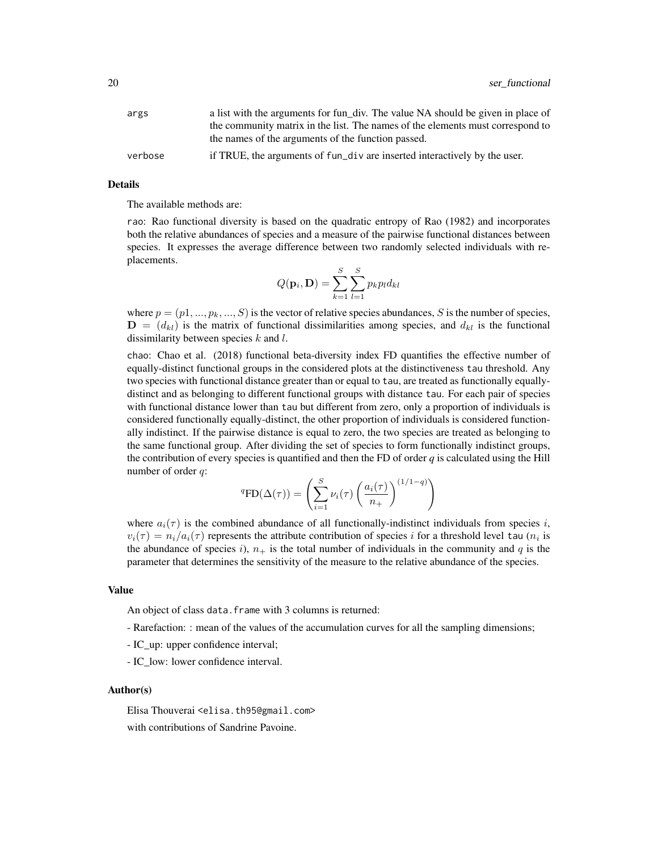| args    | a list with the arguments for fun div. The value NA should be given in place of |
|---------|---------------------------------------------------------------------------------|
|         | the community matrix in the list. The names of the elements must correspond to  |
|         | the names of the arguments of the function passed.                              |
| verbose | if TRUE, the arguments of fun_div are inserted interactively by the user.       |

#### Details

The available methods are:

rao: Rao functional diversity is based on the quadratic entropy of Rao (1982) and incorporates both the relative abundances of species and a measure of the pairwise functional distances between species. It expresses the average difference between two randomly selected individuals with replacements.

$$
Q(\mathbf{p}_i, \mathbf{D}) = \sum_{k=1}^{S} \sum_{l=1}^{S} p_k p_l d_{kl}
$$

where  $p = (p1, ..., p_k, ..., S)$  is the vector of relative species abundances, S is the number of species,  $\mathbf{D} = (d_{kl})$  is the matrix of functional dissimilarities among species, and  $d_{kl}$  is the functional dissimilarity between species  $k$  and  $l$ .

chao: Chao et al. (2018) functional beta-diversity index FD quantifies the effective number of equally-distinct functional groups in the considered plots at the distinctiveness tau threshold. Any two species with functional distance greater than or equal to tau, are treated as functionally equallydistinct and as belonging to different functional groups with distance tau. For each pair of species with functional distance lower than tau but different from zero, only a proportion of individuals is considered functionally equally-distinct, the other proportion of individuals is considered functionally indistinct. If the pairwise distance is equal to zero, the two species are treated as belonging to the same functional group. After dividing the set of species to form functionally indistinct groups, the contribution of every species is quantified and then the FD of order  $q$  is calculated using the Hill number of order q:

$$
{}^{q}\text{FD}(\Delta(\tau)) = \left(\sum_{i=1}^{S} \nu_{i}(\tau) \left(\frac{a_{i}(\tau)}{n_{+}}\right)^{(1/1-q)}\right)
$$

where  $a_i(\tau)$  is the combined abundance of all functionally-indistinct individuals from species i,  $v_i(\tau) = n_i/a_i(\tau)$  represents the attribute contribution of species i for a threshold level tau  $(n_i$  is the abundance of species i),  $n_+$  is the total number of individuals in the community and q is the parameter that determines the sensitivity of the measure to the relative abundance of the species.

#### Value

An object of class data. frame with 3 columns is returned:

- Rarefaction: : mean of the values of the accumulation curves for all the sampling dimensions;
- IC\_up: upper confidence interval;
- IC\_low: lower confidence interval.

#### Author(s)

Elisa Thouverai <elisa.th95@gmail.com> with contributions of Sandrine Pavoine.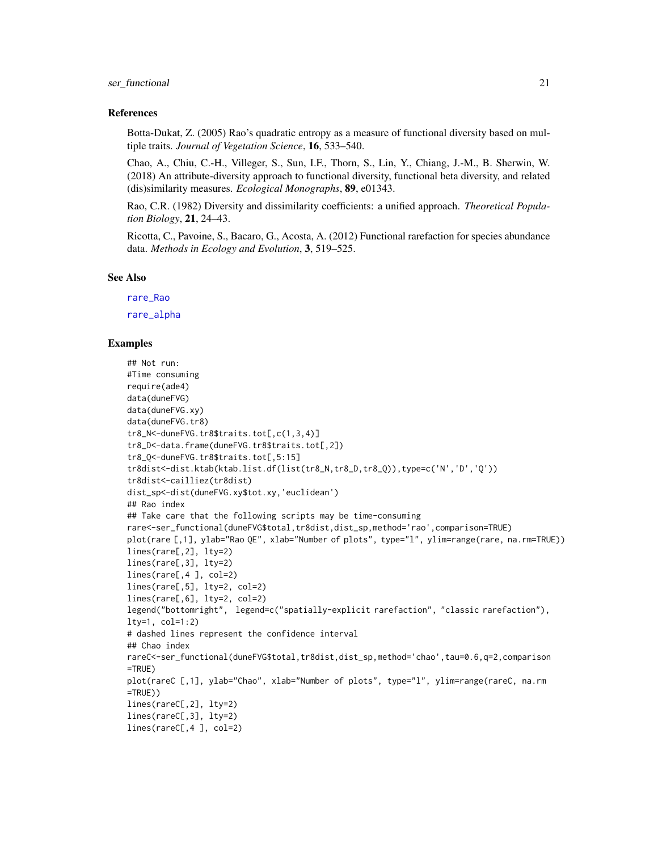#### <span id="page-20-0"></span>ser\_functional 21

#### References

Botta-Dukat, Z. (2005) Rao's quadratic entropy as a measure of functional diversity based on multiple traits. *Journal of Vegetation Science*, 16, 533–540.

Chao, A., Chiu, C.-H., Villeger, S., Sun, I.F., Thorn, S., Lin, Y., Chiang, J.-M., B. Sherwin, W. (2018) An attribute-diversity approach to functional diversity, functional beta diversity, and related (dis)similarity measures. *Ecological Monographs*, 89, e01343.

Rao, C.R. (1982) Diversity and dissimilarity coefficients: a unified approach. *Theoretical Population Biology*, 21, 24–43.

Ricotta, C., Pavoine, S., Bacaro, G., Acosta, A. (2012) Functional rarefaction for species abundance data. *Methods in Ecology and Evolution*, 3, 519–525.

#### See Also

[rare\\_Rao](#page-0-0)

[rare\\_alpha](#page-9-1)

#### Examples

## Not run: #Time consuming require(ade4) data(duneFVG) data(duneFVG.xy) data(duneFVG.tr8) tr8\_N<-duneFVG.tr8\$traits.tot[,c(1,3,4)] tr8\_D<-data.frame(duneFVG.tr8\$traits.tot[,2]) tr8\_Q<-duneFVG.tr8\$traits.tot[,5:15] tr8dist<-dist.ktab(ktab.list.df(list(tr8\_N,tr8\_D,tr8\_Q)),type=c('N','D','Q')) tr8dist<-cailliez(tr8dist) dist\_sp<-dist(duneFVG.xy\$tot.xy,'euclidean') ## Rao index ## Take care that the following scripts may be time-consuming rare<-ser\_functional(duneFVG\$total,tr8dist,dist\_sp,method='rao',comparison=TRUE) plot(rare [,1], ylab="Rao QE", xlab="Number of plots", type="l", ylim=range(rare, na.rm=TRUE)) lines(rare[,2], lty=2) lines(rare[,3], lty=2) lines(rare[,4 ], col=2) lines(rare[,5], lty=2, col=2) lines(rare[,6], lty=2, col=2) legend("bottomright", legend=c("spatially-explicit rarefaction", "classic rarefaction"), lty=1, col=1:2) # dashed lines represent the confidence interval ## Chao index rareC<-ser\_functional(duneFVG\$total,tr8dist,dist\_sp,method='chao',tau=0.6,q=2,comparison =TRUE) plot(rareC [,1], ylab="Chao", xlab="Number of plots", type="l", ylim=range(rareC, na.rm  $=$ TRUE $)$ ) lines(rareC[,2], lty=2) lines(rareC[,3], lty=2) lines(rareC[,4 ], col=2)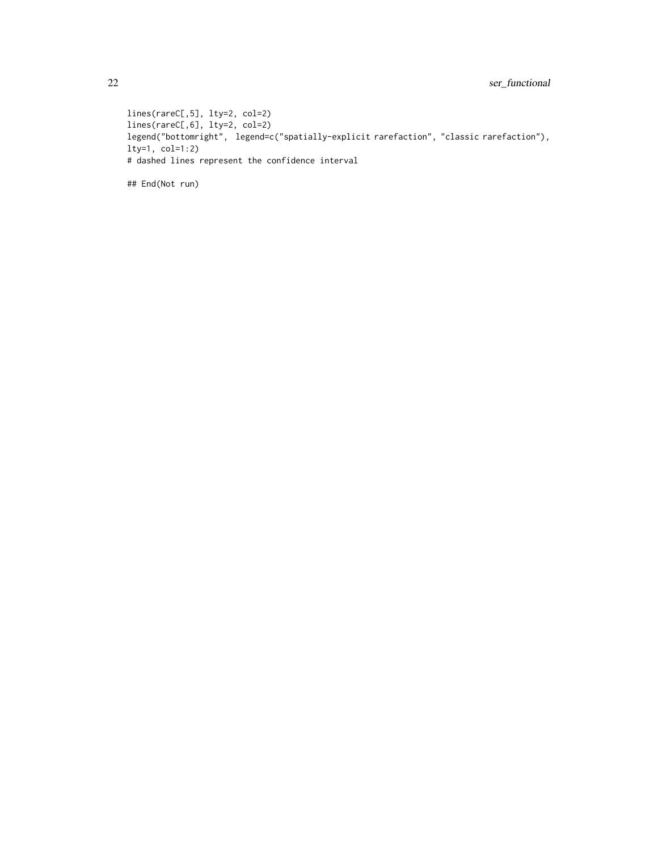lines(rareC[,5], lty=2, col=2) lines(rareC[,6], lty=2, col=2) legend("bottomright", legend=c("spatially-explicit rarefaction", "classic rarefaction"), lty=1, col=1:2) # dashed lines represent the confidence interval

## End(Not run)